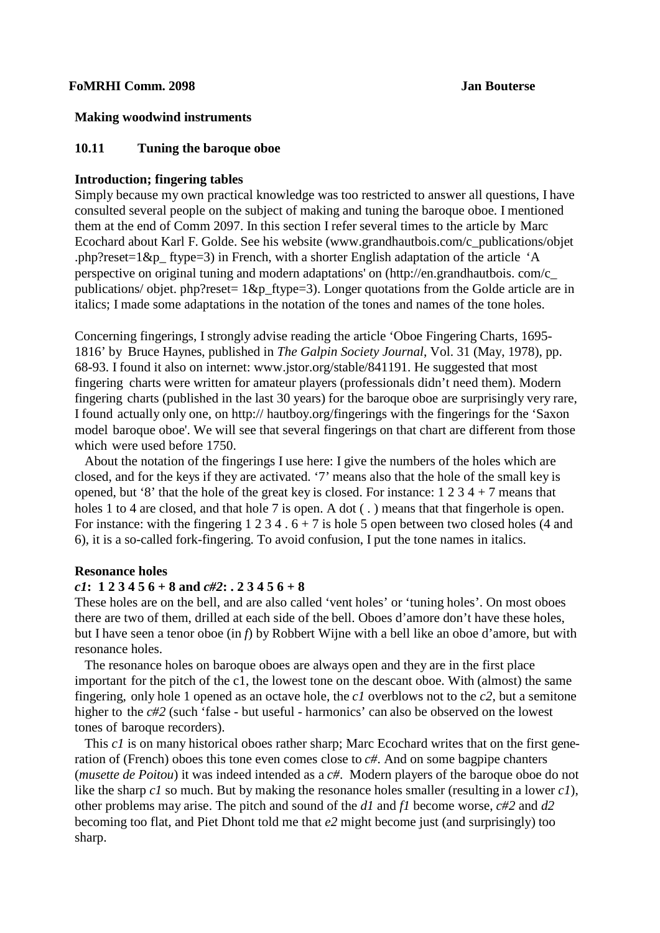## **FoMRHI Comm. 2098 Jan Bouterse**

## **Making woodwind instruments**

## **10.11 Tuning the baroque oboe**

## **Introduction; fingering tables**

Simply because my own practical knowledge was too restricted to answer all questions, I have consulted several people on the subject of making and tuning the baroque oboe. I mentioned them at the end of Comm 2097. In this section I refer several times to the article by Marc Ecochard about Karl F. Golde. See his website [\(www.grandhautbois.com/c\\_publicatio](http://www.grandhautbois.com/c_publicati)ns/objet .php?reset=1&p ftype=3) in French, with a shorter English adaptation of the article 'A perspective on original tuning and modern adaptations' on [\(http://en.grandhautbois.](http://en.grandhautbois/) com/c\_ publications/ objet. php?reset=  $1&p$  ftype=3). Longer quotations from the Golde article are in italics; I made some adaptations in the notation of the tones and names of the tone holes.

Concerning fingerings, I strongly advise reading the article 'Oboe Fingering Charts, 1695- 1816' by Bruce Haynes, published in *The Galpin Society Journal*, Vol. 31 (May, 1978), pp. 68-93. I [found it also on internet: www.jstor.org/stable/841191.](http://www.jstor.org/stable/841191) He suggested that most fingering charts were written for amateur players (professionals didn't need them). Modern fingering charts (published in the last 30 years) for the baroque oboe are surprisingly very rare, I found actually only one, on http:// hautboy.org/fingerings with the fingerings for the 'Saxon model baroque oboe'. We will see that several fingerings on that chart are different from those which were used before 1750.

 About the notation of the fingerings I use here: I give the numbers of the holes which are closed, and for the keys if they are activated. '7' means also that the hole of the small key is opened, but '8' that the hole of the great key is closed. For instance:  $1\ 2\ 3\ 4 + 7$  means that holes 1 to 4 are closed, and that hole 7 is open. A dot (.) means that that fingerhole is open. For instance: with the fingering  $1 \ 2 \ 3 \ 4 \ 6 \ + 7$  is hole 5 open between two closed holes (4 and 6), it is a so-called fork-fingering. To avoid confusion, I put the tone names in italics.

### **Resonance holes**

## *c1***: 1 2 3 4 5 6 + 8 and** *c#2***: . 2 3 4 5 6 + 8**

These holes are on the bell, and are also called 'vent holes' or 'tuning holes'. On most oboes there are two of them, drilled at each side of the bell. Oboes d'amore don't have these holes, but I have seen a tenor oboe (in *f*) by Robbert Wijne with a bell like an oboe d'amore, but with resonance holes.

 The resonance holes on baroque oboes are always open and they are in the first place important for the pitch of the c1, the lowest tone on the descant oboe. With (almost) the same fingering, only hole 1 opened as an octave hole, the *c1* overblows not to the *c2*, but a semitone higher to the *c#2* (such 'false - but useful - harmonics' can also be observed on the lowest tones of baroque recorders).

This *c1* is on many historical oboes rather sharp; Marc Ecochard writes that on the first generation of (French) oboes this tone even comes close to *c#*. And on some bagpipe chanters (*musette de Poitou*) it was indeed intended as a *c#*. Modern players of the baroque oboe do not like the sharp *c1* so much. But by making the resonance holes smaller (resulting in a lower *c1*), other problems may arise. The pitch and sound of the *d1* and *f1* become worse, *c#2* and *d2* becoming too flat, and Piet Dhont told me that *e2* might become just (and surprisingly) too sharp.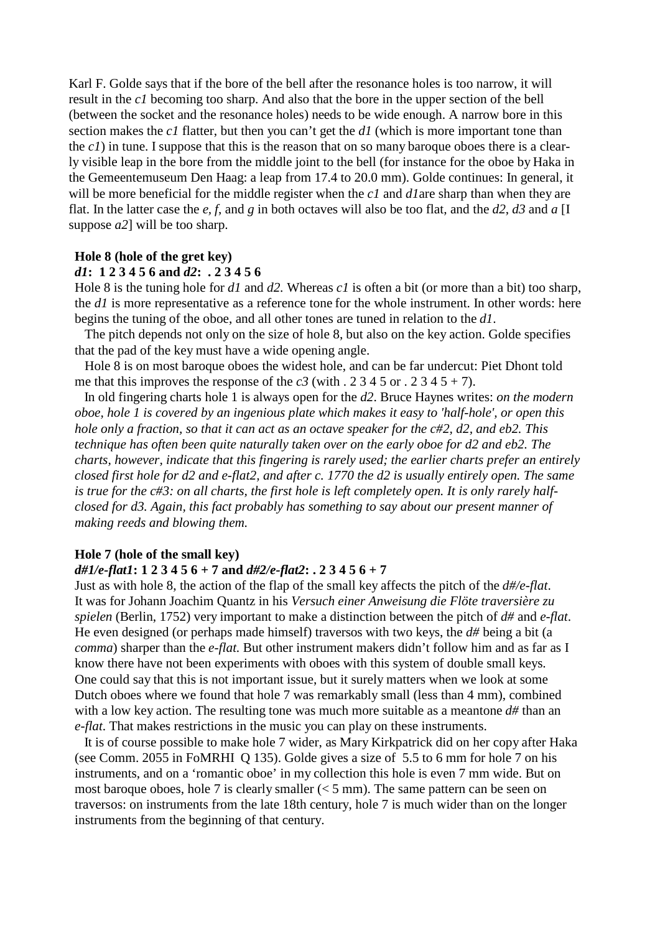Karl F. Golde says that if the bore of the bell after the resonance holes is too narrow, it will result in the *c1* becoming too sharp. And also that the bore in the upper section of the bell (between the socket and the resonance holes) needs to be wide enough. A narrow bore in this section makes the *c1* flatter, but then you can't get the *d1* (which is more important tone than the  $c_1$ ) in tune. I suppose that this is the reason that on so many baroque oboes there is a clearly visible leap in the bore from the middle joint to the bell (for instance for the oboe by Haka in the Gemeentemuseum Den Haag: a leap from 17.4 to 20.0 mm). Golde continues: In general, it will be more beneficial for the middle register when the *c1* and *d1*are sharp than when they are flat. In the latter case the *e, f*, and *g* in both octaves will also be too flat, and the *d2*, *d3* and *a* [I suppose *a2*] will be too sharp.

## **Hole 8 (hole of the gret key)**

## *d1***: 1 2 3 4 5 6 and** *d2***: . 2 3 4 5 6**

Hole 8 is the tuning hole for *d1* and *d2.* Whereas *c1* is often a bit (or more than a bit) too sharp, the *d1* is more representative as a reference tone for the whole instrument. In other words: here begins the tuning of the oboe, and all other tones are tuned in relation to the *d1*.

 The pitch depends not only on the size of hole 8, but also on the key action. Golde specifies that the pad of the key must have a wide opening angle.

 Hole 8 is on most baroque oboes the widest hole, and can be far undercut: Piet Dhont told me that this improves the response of the  $c3$  (with . 2 3 4 5 or . 2 3 4 5 + 7).

 In old fingering charts hole 1 is always open for the *d2*. Bruce Haynes writes: *on the modern oboe, hole 1 is covered by an ingenious plate which makes it easy to 'half-hole', or open this hole only a fraction, so that it can act as an octave speaker for the c#2, d2, and eb2. This technique has often been quite naturally taken over on the early oboe for d2 and eb2. The charts, however, indicate that this fingering is rarely used; the earlier charts prefer an entirely closed first hole for d2 and e-flat2, and after c. 1770 the d2 is usually entirely open. The same is true for the c#3: on all charts, the first hole is left completely open. It is only rarely halfclosed for d3. Again, this fact probably has something to say about our present manner of making reeds and blowing them.*

## **Hole 7 (hole of the small key)**

## *d#1/e-flat1***: 1 2 3 4 5 6 + 7 and** *d#2/e-flat2***: . 2 3 4 5 6 + 7**

Just as with hole 8, the action of the flap of the small key affects the pitch of the *d#/e-flat*. It was for Johann Joachim Quantz in his *Versuch einer Anweisung die Flöte traversière zu spielen* (Berlin, 1752) very important to make a distinction between the pitch of *d#* and *e-flat*. He even designed (or perhaps made himself) traversos with two keys, the *d#* being a bit (a *comma*) sharper than the *e-flat.* But other instrument makers didn't follow him and as far as I know there have not been experiments with oboes with this system of double small keys. One could say that this is not important issue, but it surely matters when we look at some Dutch oboes where we found that hole 7 was remarkably small (less than 4 mm), combined with a low key action. The resulting tone was much more suitable as a meantone  $d\#$  than an *e-flat*. That makes restrictions in the music you can play on these instruments.

 It is of course possible to make hole 7 wider, as Mary Kirkpatrick did on her copy after Haka (see Comm. 2055 in FoMRHI Q 135). Golde gives a size of 5.5 to 6 mm for hole 7 on his instruments, and on a 'romantic oboe' in my collection this hole is even 7 mm wide. But on most baroque oboes, hole 7 is clearly smaller  $(< 5$  mm). The same pattern can be seen on traversos: on instruments from the late 18th century, hole 7 is much wider than on the longer instruments from the beginning of that century.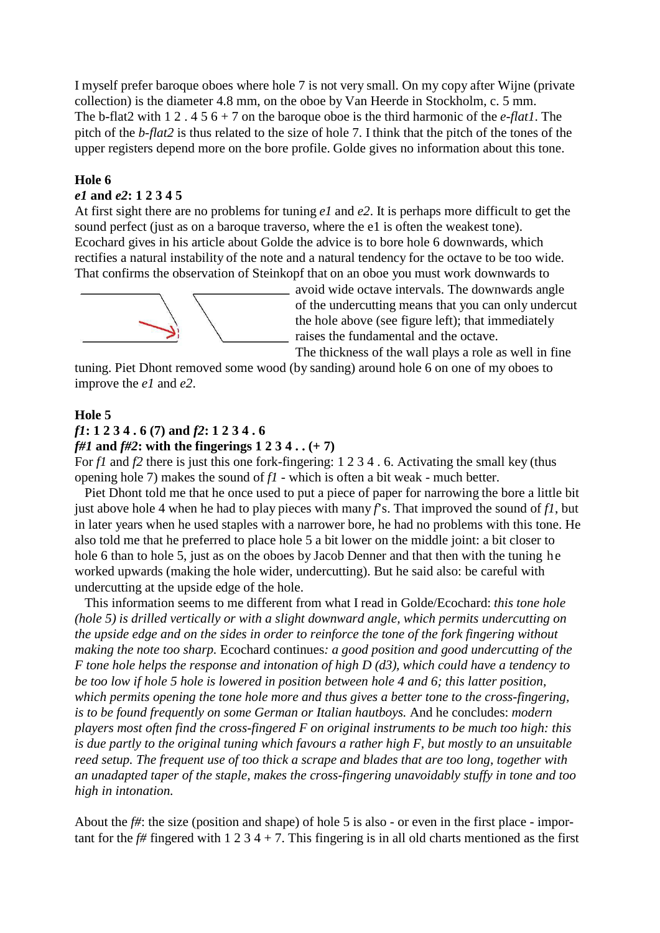I myself prefer baroque oboes where hole 7 is not very small. On my copy after Wijne (private collection) is the diameter 4.8 mm, on the oboe by Van Heerde in Stockholm, c. 5 mm. The b-flat2 with 1 2 . 4 5 6 + 7 on the baroque oboe is the third harmonic of the *e-flat1*. The pitch of the *b-flat2* is thus related to the size of hole 7. I think that the pitch of the tones of the upper registers depend more on the bore profile. Golde gives no information about this tone.

## **Hole 6**

## *e1* **and** *e2***: 1 2 3 4 5**

At first sight there are no problems for tuning *e1* and *e2*. It is perhaps more difficult to get the sound perfect (just as on a baroque traverso, where the e1 is often the weakest tone). Ecochard gives in his article about Golde the advice is to bore hole 6 downwards, which rectifies a natural instability of the note and a natural tendency for the octave to be too wide. That confirms the observation of Steinkopf that on an oboe you must work downwards to



avoid wide octave intervals. The downwards angle of the undercutting means that you can only undercut the hole above (see figure left); that immediately raises the fundamental and the octave.

The thickness of the wall plays a role as well in fine

tuning. Piet Dhont removed some wood (by sanding) around hole 6 on one of my oboes to improve the *e1* and *e2*.

### **Hole 5**

### *f1***: 1 2 3 4 . 6 (7) and** *f2***: 1 2 3 4 . 6**

#### *f#1* **and** *f#2***: with the fingerings 1 2 3 4 . . (+ 7)**

For *f1* and *f2* there is just this one fork-fingering: 1 2 3 4 . 6. Activating the small key (thus opening hole 7) makes the sound of *f1* - which is often a bit weak - much better.

 Piet Dhont told me that he once used to put a piece of paper for narrowing the bore a little bit just above hole 4 when he had to play pieces with many  $f$ 's. That improved the sound of  $f$ , but in later years when he used staples with a narrower bore, he had no problems with this tone. He also told me that he preferred to place hole 5 a bit lower on the middle joint: a bit closer to hole 6 than to hole 5, just as on the oboes by Jacob Denner and that then with the tuning he worked upwards (making the hole wider, undercutting). But he said also: be careful with undercutting at the upside edge of the hole.

 This information seems to me different from what I read in Golde/Ecochard: *this tone hole (hole 5) is drilled vertically or with a slight downward angle, which permits undercutting on the upside edge and on the sides in order to reinforce the tone of the fork fingering without making the note too sharp.* Ecochard continues*: a good position and good undercutting of the F tone hole helps the response and intonation of high D (d3), which could have a tendency to be too low if hole 5 hole is lowered in position between hole 4 and 6; this latter position, which permits opening the tone hole more and thus gives a better tone to the cross-fingering, is to be found frequently on some German or Italian hautboys.* And he concludes: *modern players most often find the cross-fingered F on original instruments to be much too high: this is due partly to the original tuning which favours a rather high F, but mostly to an unsuitable reed setup. The frequent use of too thick a scrape and blades that are too long, together with an unadapted taper of the staple, makes the cross-fingering unavoidably stuffy in tone and too high in intonation.*

About the *f#*: the size (position and shape) of hole 5 is also - or even in the first place - important for the  $f#$  fingered with 1 2 3 4 + 7. This fingering is in all old charts mentioned as the first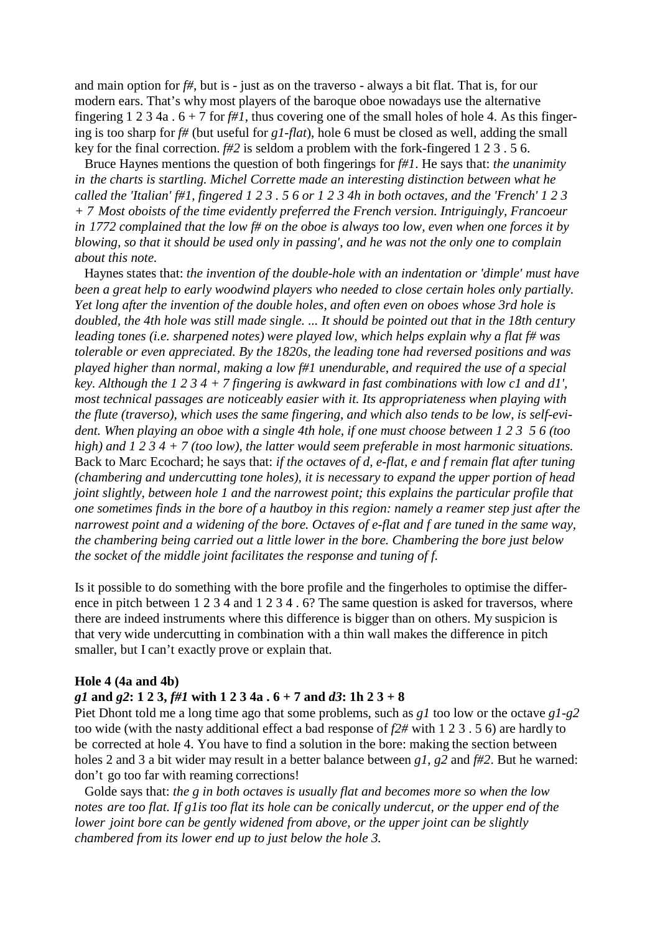and main option for *f#*, but is - just as on the traverso - always a bit flat. That is, for our modern ears. That's why most players of the baroque oboe nowadays use the alternative fingering 1 2 3 4a  $\cdot$  6 + 7 for *f#1*, thus covering one of the small holes of hole 4. As this fingering is too sharp for *f#* (but useful for *g1-flat*), hole 6 must be closed as well, adding the small key for the final correction. *f#2* is seldom a problem with the fork-fingered 1 2 3 . 5 6.

 Bruce Haynes mentions the question of both fingerings for *f#1*. He says that: *the unanimity in the charts is startling. Michel Corrette made an interesting distinction between what he called the 'Italian' f#1, fingered 1 2 3 . 5 6 or 1 2 3 4h in both octaves, and the 'French' 1 2 3 + 7 Most oboists of the time evidently preferred the French version. Intriguingly, Francoeur in 1772 complained that the low f# on the oboe is always too low, even when one forces it by blowing, so that it should be used only in passing', and he was not the only one to complain about this note.*

 Haynes states that: *the invention of the double-hole with an indentation or 'dimple' must have been a great help to early woodwind players who needed to close certain holes only partially. Yet long after the invention of the double holes, and often even on oboes whose 3rd hole is doubled, the 4th hole was still made single. ... It should be pointed out that in the 18th century leading tones (i.e. sharpened notes) were played low, which helps explain why a flat f# was tolerable or even appreciated. By the 1820s, the leading tone had reversed positions and was played higher than normal, making a low f#1 unendurable, and required the use of a special key. Although the 1 2 3 4 + 7 fingering is awkward in fast combinations with low c1 and d1', most technical passages are noticeably easier with it. Its appropriateness when playing with the flute (traverso), which uses the same fingering, and which also tends to be low, is self-evident. When playing an oboe with a single 4th hole, if one must choose between 1 2 3 5 6 (too high) and 1 2 3 4 + 7 (too low), the latter would seem preferable in most harmonic situations.* Back to Marc Ecochard; he says that: *if the octaves of d, e-flat, e and f remain flat after tuning (chambering and undercutting tone holes), it is necessary to expand the upper portion of head joint slightly, between hole 1 and the narrowest point; this explains the particular profile that one sometimes finds in the bore of a hautboy in this region: namely a reamer step just after the narrowest point and a widening of the bore. Octaves of e-flat and f are tuned in the same way, the chambering being carried out a little lower in the bore. Chambering the bore just below the socket of the middle joint facilitates the response and tuning of f.*

Is it possible to do something with the bore profile and the fingerholes to optimise the difference in pitch between 1 2 3 4 and 1 2 3 4 . 6? The same question is asked for traversos, where there are indeed instruments where this difference is bigger than on others. My suspicion is that very wide undercutting in combination with a thin wall makes the difference in pitch smaller, but I can't exactly prove or explain that.

#### **Hole 4 (4a and 4b)**

## *g1* **and** *g2***: 1 2 3,** *f#1* **with 1 2 3 4a . 6 + 7 and** *d3***: 1h 2 3 + 8**

Piet Dhont told me a long time ago that some problems, such as *g1* too low or the octave *g1-g2* too wide (with the nasty additional effect a bad response of *f2#* with 1 2 3 . 5 6) are hardly to be corrected at hole 4. You have to find a solution in the bore: making the section between holes 2 and 3 a bit wider may result in a better balance between *g1*, *g2* and *f#2*. But he warned: don't go too far with reaming corrections!

 Golde says that: *the g in both octaves is usually flat and becomes more so when the low notes are too flat. If g1is too flat its hole can be conically undercut, or the upper end of the lower joint bore can be gently widened from above, or the upper joint can be slightly chambered from its lower end up to just below the hole 3.*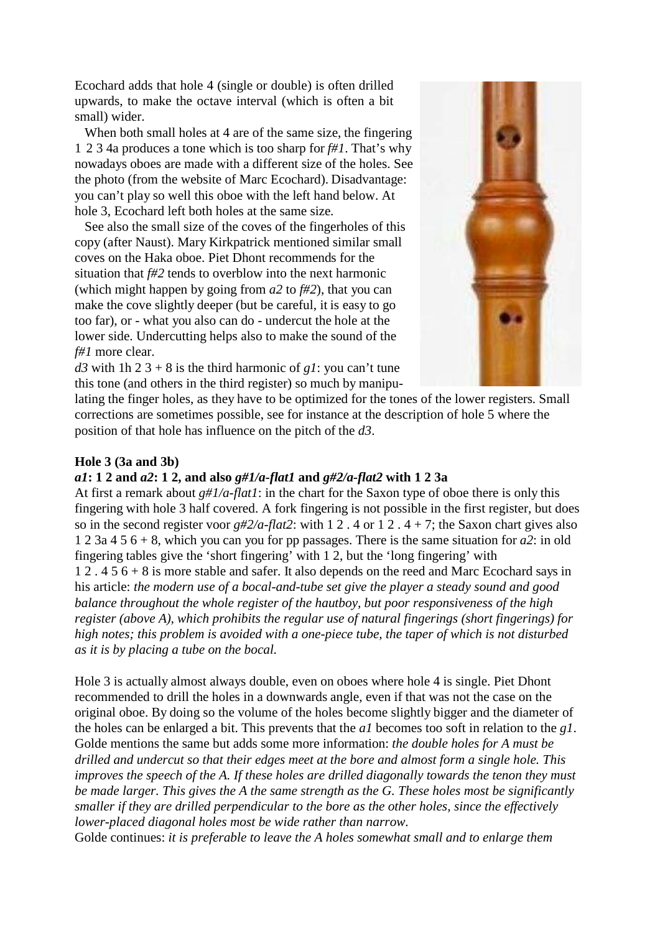Ecochard adds that hole 4 (single or double) is often drilled upwards, to make the octave interval (which is often a bit small) wider.

 When both small holes at 4 are of the same size, the fingering 1 2 3 4a produces a tone which is too sharp for *f#1*. That's why nowadays oboes are made with a different size of the holes. See the photo (from the website of Marc Ecochard). Disadvantage: you can't play so well this oboe with the left hand below. At hole 3, Ecochard left both holes at the same size.

 See also the small size of the coves of the fingerholes of this copy (after Naust). Mary Kirkpatrick mentioned similar small coves on the Haka oboe. Piet Dhont recommends for the situation that *f#2* tends to overblow into the next harmonic (which might happen by going from *a2* to *f#2*), that you can make the cove slightly deeper (but be careful, it is easy to go too far), or - what you also can do - undercut the hole at the lower side. Undercutting helps also to make the sound of the *f#1* more clear.



*d3* with 1h 2 3 + 8 is the third harmonic of  $g*I*$ : you can't tune this tone (and others in the third register) so much by manipu-

lating the finger holes, as they have to be optimized for the tones of the lower registers. Small corrections are sometimes possible, see for instance at the description of hole 5 where the position of that hole has influence on the pitch of the *d3*.

## **Hole 3 (3a and 3b)**

### *a1***: 1 2 and** *a2***: 1 2, and also** *g#1/a-flat1* **and** *g#2/a-flat2* **with 1 2 3a**

At first a remark about *g#1/a-flat1*: in the chart for the Saxon type of oboe there is only this fingering with hole 3 half covered. A fork fingering is not possible in the first register, but does so in the second register voor  $g\#2/a$ -flat2: with 1 2 . 4 or 1 2 . 4 + 7; the Saxon chart gives also 1 2 3a 4 5 6 + 8, which you can you for pp passages. There is the same situation for *a2*: in old fingering tables give the 'short fingering' with 1 2, but the 'long fingering' with 1 2 . 4 5 6 + 8 is more stable and safer. It also depends on the reed and Marc Ecochard says in his article: *the modern use of a bocal-and-tube set give the player a steady sound and good balance throughout the whole register of the hautboy, but poor responsiveness of the high register (above A), which prohibits the regular use of natural fingerings (short fingerings) for high notes; this problem is avoided with a one-piece tube, the taper of which is not disturbed as it is by placing a tube on the bocal.*

Hole 3 is actually almost always double, even on oboes where hole 4 is single. Piet Dhont recommended to drill the holes in a downwards angle, even if that was not the case on the original oboe. By doing so the volume of the holes become slightly bigger and the diameter of the holes can be enlarged a bit. This prevents that the *a1* becomes too soft in relation to the *g1*. Golde mentions the same but adds some more information: *the double holes for A must be drilled and undercut so that their edges meet at the bore and almost form a single hole. This improves the speech of the A. If these holes are drilled diagonally towards the tenon they must be made larger. This gives the A the same strength as the G. These holes most be significantly smaller if they are drilled perpendicular to the bore as the other holes, since the effectively lower-placed diagonal holes most be wide rather than narrow.*

Golde continues: *it is preferable to leave the A holes somewhat small and to enlarge them*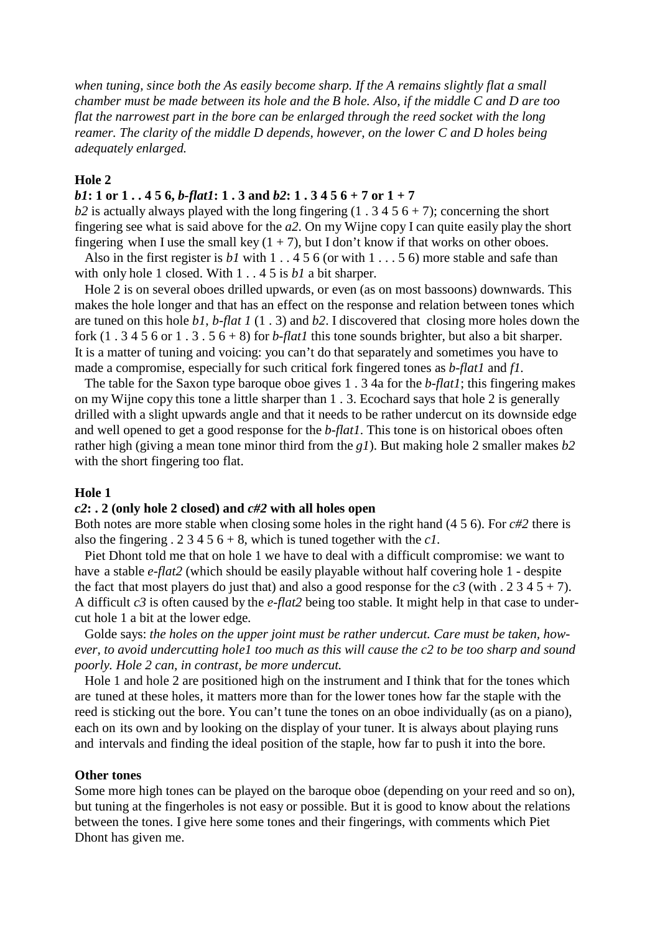*when tuning, since both the As easily become sharp. If the A remains slightly flat a small chamber must be made between its hole and the B hole. Also, if the middle C and D are too flat the narrowest part in the bore can be enlarged through the reed socket with the long reamer. The clarity of the middle D depends, however, on the lower C and D holes being adequately enlarged.*

## **Hole 2**

## *b1***: 1 or 1 . . 4 5 6,** *b-flat1***: 1 . 3 and** *b2***: 1 . 3 4 5 6 + 7 or 1 + 7**

 $b2$  is actually always played with the long fingering (1.3456+7); concerning the short fingering see what is said above for the *a2*. On my Wijne copy I can quite easily play the short fingering when I use the small key  $(1 + 7)$ , but I don't know if that works on other oboes.

Also in the first register is *b1* with 1 . . 4 5 6 (or with 1 . . . 5 6) more stable and safe than with only hole 1 closed. With 1 . . 4 5 is *b1* a bit sharper.

 Hole 2 is on several oboes drilled upwards, or even (as on most bassoons) downwards. This makes the hole longer and that has an effect on the response and relation between tones which are tuned on this hole *b1*, *b-flat 1* (1 . 3) and *b2*. I discovered that closing more holes down the fork  $(1 \cdot 3 \cdot 4 \cdot 5 \cdot 6 \cdot 7 \cdot 7 \cdot 3 \cdot 5 \cdot 6 \cdot 8)$  for *b-flat1* this tone sounds brighter, but also a bit sharper. It is a matter of tuning and voicing: you can't do that separately and sometimes you have to made a compromise, especially for such critical fork fingered tones as *b-flat1* and *f1.*

 The table for the Saxon type baroque oboe gives 1 . 3 4a for the *b-flat1*; this fingering makes on my Wijne copy this tone a little sharper than 1 . 3. Ecochard says that hole 2 is generally drilled with a slight upwards angle and that it needs to be rather undercut on its downside edge and well opened to get a good response for the *b-flat1*. This tone is on historical oboes often rather high (giving a mean tone minor third from the *g1*). But making hole 2 smaller makes *b2* with the short fingering too flat.

## **Hole 1**

## *c2***: . 2 (only hole 2 closed) and** *c#2* **with all holes open**

Both notes are more stable when closing some holes in the right hand (4 5 6). For *c#2* there is also the fingering  $. 2 \, 3 \, 4 \, 5 \, 6 + 8$ , which is tuned together with the *c1*.

 Piet Dhont told me that on hole 1 we have to deal with a difficult compromise: we want to have a stable *e-flat2* (which should be easily playable without half covering hole 1 - despite the fact that most players do just that) and also a good response for the  $c3$  (with . 2 3 4 5 + 7). A difficult *c3* is often caused by the *e-flat2* being too stable. It might help in that case to undercut hole 1 a bit at the lower edge.

 Golde says: *the holes on the upper joint must be rather undercut. Care must be taken, however, to avoid undercutting hole1 too much as this will cause the c2 to be too sharp and sound poorly. Hole 2 can, in contrast, be more undercut.*

 Hole 1 and hole 2 are positioned high on the instrument and I think that for the tones which are tuned at these holes, it matters more than for the lower tones how far the staple with the reed is sticking out the bore. You can't tune the tones on an oboe individually (as on a piano), each on its own and by looking on the display of your tuner. It is always about playing runs and intervals and finding the ideal position of the staple, how far to push it into the bore.

#### **Other tones**

Some more high tones can be played on the baroque oboe (depending on your reed and so on), but tuning at the fingerholes is not easy or possible. But it is good to know about the relations between the tones. I give here some tones and their fingerings, with comments which Piet Dhont has given me.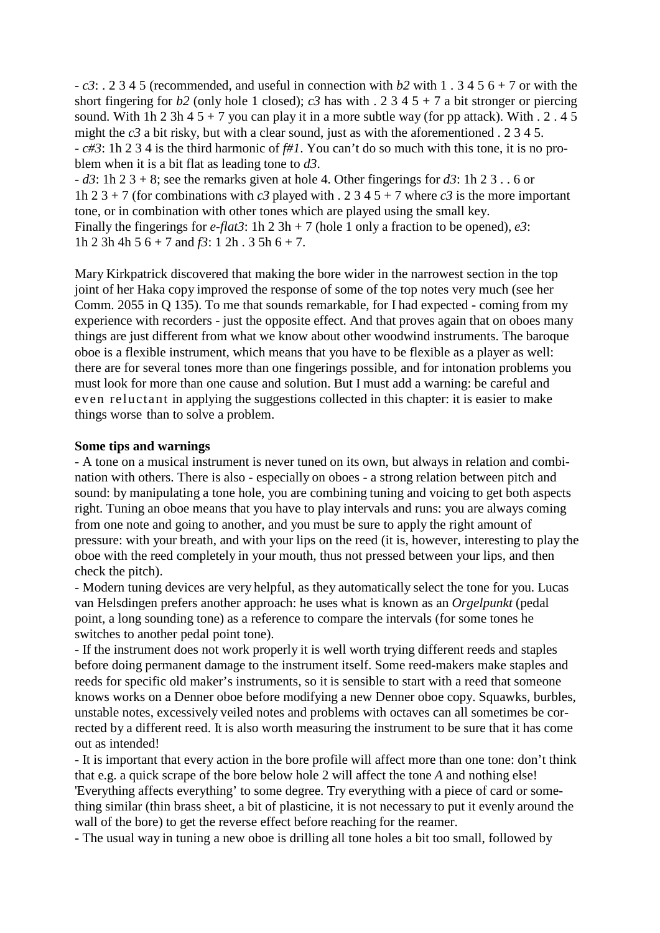- *c3*: . 2 3 4 5 (recommended, and useful in connection with *b2* with 1 . 3 4 5 6 + 7 or with the short fingering for *b*2 (only hole 1 closed); *c3* has with . 2 3 4 5 + 7 a bit stronger or piercing sound. With 1h 2 3h 4  $5 + 7$  you can play it in a more subtle way (for pp attack). With  $\cdot$  2  $\cdot$  4  $\cdot$ might the  $c3$  a bit risky, but with a clear sound, just as with the aforementioned  $\overline{a}$  2 3 4 5. - *c#3*: 1h 2 3 4 is the third harmonic of *f#1*. You can't do so much with this tone, it is no problem when it is a bit flat as leading tone to *d3*.

- *d3*: 1h 2 3 + 8; see the remarks given at hole 4. Other fingerings for *d3*: 1h 2 3 . . 6 or 1h 2 3 + 7 (for combinations with *c3* played with . 2 3 4 5 + 7 where *c3* is the more important tone, or in combination with other tones which are played using the small key. Finally the fingerings for *e-flat3*: 1h 2 3h + 7 (hole 1 only a fraction to be opened), *e3*: 1h 2 3h 4h 5  $6 + 7$  and  $f3$ : 1 2h . 3 5h  $6 + 7$ .

Mary Kirkpatrick discovered that making the bore wider in the narrowest section in the top joint of her Haka copy improved the response of some of the top notes very much (see her Comm. 2055 in Q 135). To me that sounds remarkable, for I had expected - coming from my experience with recorders - just the opposite effect. And that proves again that on oboes many things are just different from what we know about other woodwind instruments. The baroque oboe is a flexible instrument, which means that you have to be flexible as a player as well: there are for several tones more than one fingerings possible, and for intonation problems you must look for more than one cause and solution. But I must add a warning: be careful and even reluctant in applying the suggestions collected in this chapter: it is easier to make things worse than to solve a problem.

## **Some tips and warnings**

- A tone on a musical instrument is never tuned on its own, but always in relation and combination with others. There is also - especially on oboes - a strong relation between pitch and sound: by manipulating a tone hole, you are combining tuning and voicing to get both aspects right. Tuning an oboe means that you have to play intervals and runs: you are always coming from one note and going to another, and you must be sure to apply the right amount of pressure: with your breath, and with your lips on the reed (it is, however, interesting to play the oboe with the reed completely in your mouth, thus not pressed between your lips, and then check the pitch).

- Modern tuning devices are very helpful, as they automatically select the tone for you. Lucas van Helsdingen prefers another approach: he uses what is known as an *Orgelpunkt* (pedal point, a long sounding tone) as a reference to compare the intervals (for some tones he switches to another pedal point tone).

- If the instrument does not work properly it is well worth trying different reeds and staples before doing permanent damage to the instrument itself. Some reed-makers make staples and reeds for specific old maker's instruments, so it is sensible to start with a reed that someone knows works on a Denner oboe before modifying a new Denner oboe copy. Squawks, burbles, unstable notes, excessively veiled notes and problems with octaves can all sometimes be corrected by a different reed. It is also worth measuring the instrument to be sure that it has come out as intended!

- It is important that every action in the bore profile will affect more than one tone: don't think that e.g. a quick scrape of the bore below hole 2 will affect the tone *A* and nothing else! 'Everything affects everything' to some degree. Try everything with a piece of card or something similar (thin brass sheet, a bit of plasticine, it is not necessary to put it evenly around the wall of the bore) to get the reverse effect before reaching for the reamer.

- The usual way in tuning a new oboe is drilling all tone holes a bit too small, followed by